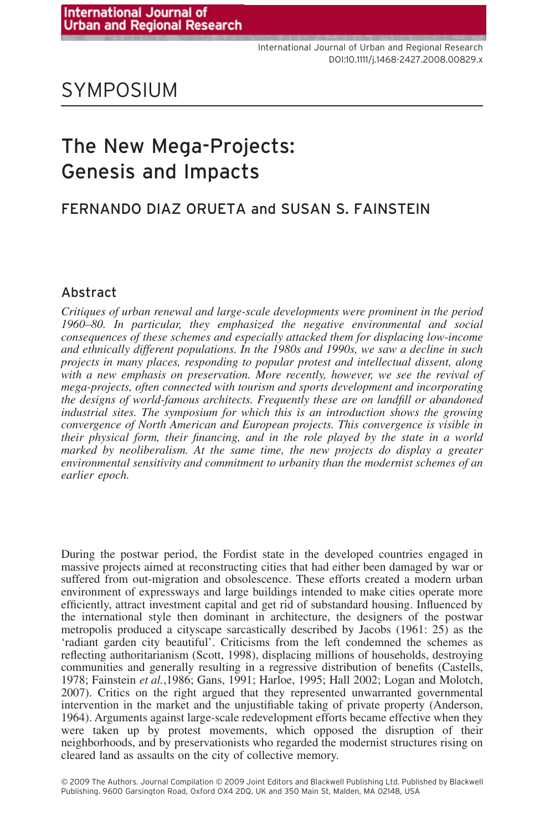## SYMPOSIUM

# The New Mega-Projects: Genesis and Impacts

## FERNANDO DIAZ ORUETA and SUSAN S. FAINSTEIN

#### Abstract

*Critiques of urban renewal and large-scale developments were prominent in the period 1960–80. In particular, they emphasized the negative environmental and social consequences of these schemes and especially attacked them for displacing low-income and ethnically different populations. In the 1980s and 1990s, we saw a decline in such projects in many places, responding to popular protest and intellectual dissent, along with a new emphasis on preservation. More recently, however, we see the revival of mega-projects, often connected with tourism and sports development and incorporating the designs of world-famous architects. Frequently these are on landfill or abandoned industrial sites. The symposium for which this is an introduction shows the growing convergence of North American and European projects. This convergence is visible in their physical form, their financing, and in the role played by the state in a world marked by neoliberalism. At the same time, the new projects do display a greater environmental sensitivity and commitment to urbanity than the modernist schemes of an earlier epoch.*

During the postwar period, the Fordist state in the developed countries engaged in massive projects aimed at reconstructing cities that had either been damaged by war or suffered from out-migration and obsolescence. These efforts created a modern urban environment of expressways and large buildings intended to make cities operate more efficiently, attract investment capital and get rid of substandard housing. Influenced by the international style then dominant in architecture, the designers of the postwar metropolis produced a cityscape sarcastically described by Jacobs (1961: 25) as the 'radiant garden city beautiful'. Criticisms from the left condemned the schemes as reflecting authoritarianism (Scott, 1998), displacing millions of households, destroying communities and generally resulting in a regressive distribution of benefits (Castells, 1978; Fainstein *et al.*,1986; Gans, 1991; Harloe, 1995; Hall 2002; Logan and Molotch, 2007). Critics on the right argued that they represented unwarranted governmental intervention in the market and the unjustifiable taking of private property (Anderson, 1964). Arguments against large-scale redevelopment efforts became effective when they were taken up by protest movements, which opposed the disruption of their neighborhoods, and by preservationists who regarded the modernist structures rising on cleared land as assaults on the city of collective memory.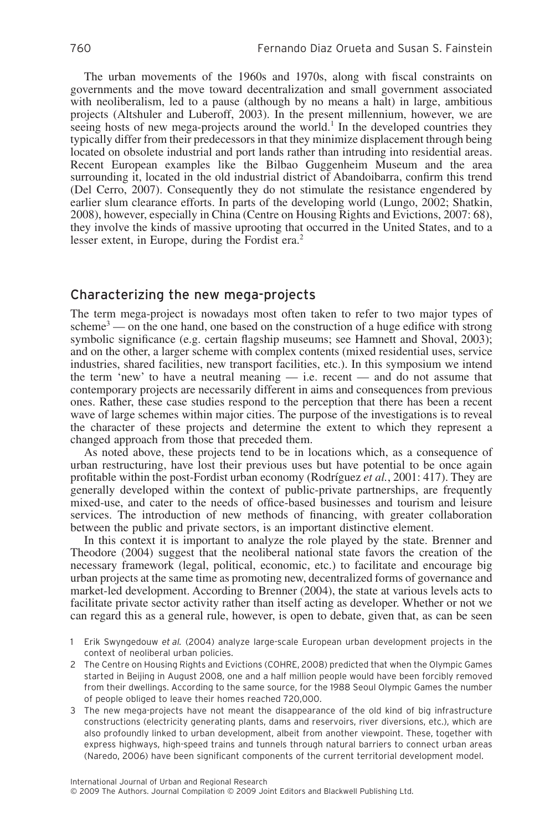The urban movements of the 1960s and 1970s, along with fiscal constraints on governments and the move toward decentralization and small government associated with neoliberalism, led to a pause (although by no means a halt) in large, ambitious projects (Altshuler and Luberoff, 2003). In the present millennium, however, we are seeing hosts of new mega-projects around the world.<sup>1</sup> In the developed countries they typically differ from their predecessors in that they minimize displacement through being located on obsolete industrial and port lands rather than intruding into residential areas. Recent European examples like the Bilbao Guggenheim Museum and the area surrounding it, located in the old industrial district of Abandoibarra, confirm this trend (Del Cerro, 2007). Consequently they do not stimulate the resistance engendered by earlier slum clearance efforts. In parts of the developing world (Lungo, 2002; Shatkin, 2008), however, especially in China (Centre on Housing Rights and Evictions, 2007: 68), they involve the kinds of massive uprooting that occurred in the United States, and to a lesser extent, in Europe, during the Fordist era. $2$ 

#### Characterizing the new mega-projects

The term mega-project is nowadays most often taken to refer to two major types of scheme<sup>3</sup> — on the one hand, one based on the construction of a huge edifice with strong symbolic significance (e.g. certain flagship museums; see Hamnett and Shoval, 2003); and on the other, a larger scheme with complex contents (mixed residential uses, service industries, shared facilities, new transport facilities, etc.). In this symposium we intend the term 'new' to have a neutral meaning  $-$  i.e. recent  $-$  and do not assume that contemporary projects are necessarily different in aims and consequences from previous ones. Rather, these case studies respond to the perception that there has been a recent wave of large schemes within major cities. The purpose of the investigations is to reveal the character of these projects and determine the extent to which they represent a changed approach from those that preceded them.

As noted above, these projects tend to be in locations which, as a consequence of urban restructuring, have lost their previous uses but have potential to be once again profitable within the post-Fordist urban economy (Rodríguez *et al.*, 2001: 417). They are generally developed within the context of public-private partnerships, are frequently mixed-use, and cater to the needs of office-based businesses and tourism and leisure services. The introduction of new methods of financing, with greater collaboration between the public and private sectors, is an important distinctive element.

In this context it is important to analyze the role played by the state. Brenner and Theodore (2004) suggest that the neoliberal national state favors the creation of the necessary framework (legal, political, economic, etc.) to facilitate and encourage big urban projects at the same time as promoting new, decentralized forms of governance and market-led development. According to Brenner (2004), the state at various levels acts to facilitate private sector activity rather than itself acting as developer. Whether or not we can regard this as a general rule, however, is open to debate, given that, as can be seen

- 1 Erik Swyngedouw *et al.* (2004) analyze large-scale European urban development projects in the context of neoliberal urban policies.
- 2 The Centre on Housing Rights and Evictions (COHRE, 2008) predicted that when the Olympic Games started in Beijing in August 2008, one and a half million people would have been forcibly removed from their dwellings. According to the same source, for the 1988 Seoul Olympic Games the number of people obliged to leave their homes reached 720,000.
- 3 The new mega-projects have not meant the disappearance of the old kind of big infrastructure constructions (electricity generating plants, dams and reservoirs, river diversions, etc.), which are also profoundly linked to urban development, albeit from another viewpoint. These, together with express highways, high-speed trains and tunnels through natural barriers to connect urban areas (Naredo, 2006) have been significant components of the current territorial development model.

© 2009 The Authors. Journal Compilation © 2009 Joint Editors and Blackwell Publishing Ltd.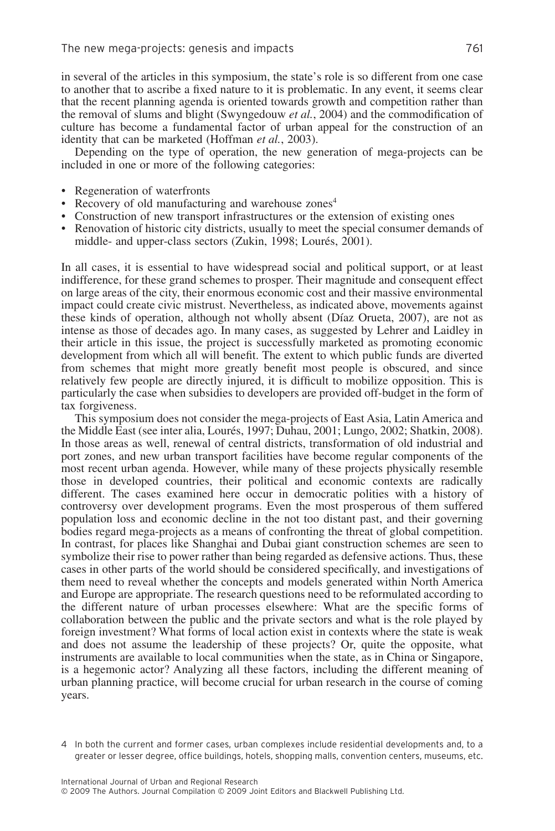in several of the articles in this symposium, the state's role is so different from one case to another that to ascribe a fixed nature to it is problematic. In any event, it seems clear that the recent planning agenda is oriented towards growth and competition rather than the removal of slums and blight (Swyngedouw *et al.*, 2004) and the commodification of culture has become a fundamental factor of urban appeal for the construction of an identity that can be marketed (Hoffman *et al.*, 2003).

Depending on the type of operation, the new generation of mega-projects can be included in one or more of the following categories:

- Regeneration of waterfronts
- Recovery of old manufacturing and warehouse zones<sup>4</sup>
- Construction of new transport infrastructures or the extension of existing ones
- Renovation of historic city districts, usually to meet the special consumer demands of middle- and upper-class sectors (Zukin, 1998; Lourés, 2001).

In all cases, it is essential to have widespread social and political support, or at least indifference, for these grand schemes to prosper. Their magnitude and consequent effect on large areas of the city, their enormous economic cost and their massive environmental impact could create civic mistrust. Nevertheless, as indicated above, movements against these kinds of operation, although not wholly absent (Díaz Orueta, 2007), are not as intense as those of decades ago. In many cases, as suggested by Lehrer and Laidley in their article in this issue, the project is successfully marketed as promoting economic development from which all will benefit. The extent to which public funds are diverted from schemes that might more greatly benefit most people is obscured, and since relatively few people are directly injured, it is difficult to mobilize opposition. This is particularly the case when subsidies to developers are provided off-budget in the form of tax forgiveness.

This symposium does not consider the mega-projects of East Asia, Latin America and the Middle East (see inter alia, Lourés, 1997; Duhau, 2001; Lungo, 2002; Shatkin, 2008). In those areas as well, renewal of central districts, transformation of old industrial and port zones, and new urban transport facilities have become regular components of the most recent urban agenda. However, while many of these projects physically resemble those in developed countries, their political and economic contexts are radically different. The cases examined here occur in democratic polities with a history of controversy over development programs. Even the most prosperous of them suffered population loss and economic decline in the not too distant past, and their governing bodies regard mega-projects as a means of confronting the threat of global competition. In contrast, for places like Shanghai and Dubai giant construction schemes are seen to symbolize their rise to power rather than being regarded as defensive actions. Thus, these cases in other parts of the world should be considered specifically, and investigations of them need to reveal whether the concepts and models generated within North America and Europe are appropriate. The research questions need to be reformulated according to the different nature of urban processes elsewhere: What are the specific forms of collaboration between the public and the private sectors and what is the role played by foreign investment? What forms of local action exist in contexts where the state is weak and does not assume the leadership of these projects? Or, quite the opposite, what instruments are available to local communities when the state, as in China or Singapore, is a hegemonic actor? Analyzing all these factors, including the different meaning of urban planning practice, will become crucial for urban research in the course of coming years.

<sup>4</sup> In both the current and former cases, urban complexes include residential developments and, to a greater or lesser degree, office buildings, hotels, shopping malls, convention centers, museums, etc.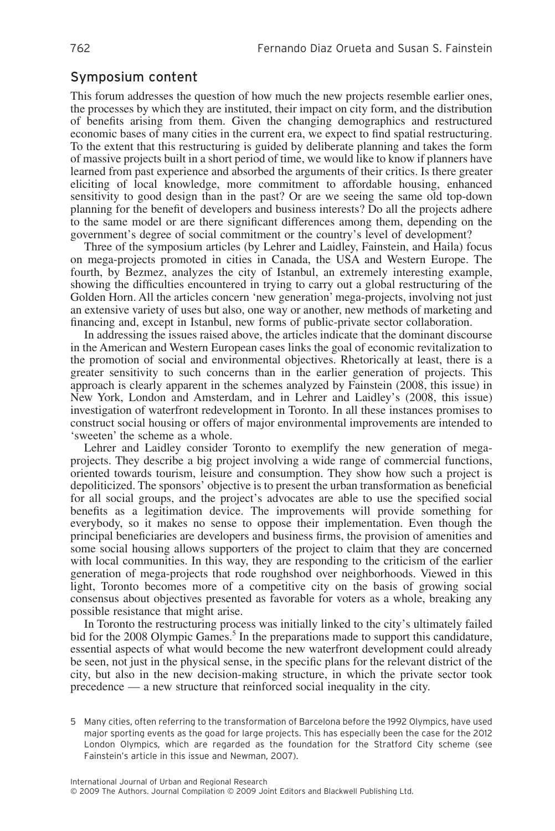#### Symposium content

This forum addresses the question of how much the new projects resemble earlier ones, the processes by which they are instituted, their impact on city form, and the distribution of benefits arising from them. Given the changing demographics and restructured economic bases of many cities in the current era, we expect to find spatial restructuring. To the extent that this restructuring is guided by deliberate planning and takes the form of massive projects built in a short period of time, we would like to know if planners have learned from past experience and absorbed the arguments of their critics. Is there greater eliciting of local knowledge, more commitment to affordable housing, enhanced sensitivity to good design than in the past? Or are we seeing the same old top-down planning for the benefit of developers and business interests? Do all the projects adhere to the same model or are there significant differences among them, depending on the government's degree of social commitment or the country's level of development?

Three of the symposium articles (by Lehrer and Laidley, Fainstein, and Haila) focus on mega-projects promoted in cities in Canada, the USA and Western Europe. The fourth, by Bezmez, analyzes the city of Istanbul, an extremely interesting example, showing the difficulties encountered in trying to carry out a global restructuring of the Golden Horn. All the articles concern 'new generation' mega-projects, involving not just an extensive variety of uses but also, one way or another, new methods of marketing and financing and, except in Istanbul, new forms of public-private sector collaboration.

In addressing the issues raised above, the articles indicate that the dominant discourse in the American and Western European cases links the goal of economic revitalization to the promotion of social and environmental objectives. Rhetorically at least, there is a greater sensitivity to such concerns than in the earlier generation of projects. This approach is clearly apparent in the schemes analyzed by Fainstein (2008, this issue) in New York, London and Amsterdam, and in Lehrer and Laidley's (2008, this issue) investigation of waterfront redevelopment in Toronto. In all these instances promises to construct social housing or offers of major environmental improvements are intended to 'sweeten' the scheme as a whole.

Lehrer and Laidley consider Toronto to exemplify the new generation of megaprojects. They describe a big project involving a wide range of commercial functions, oriented towards tourism, leisure and consumption. They show how such a project is depoliticized. The sponsors' objective is to present the urban transformation as beneficial for all social groups, and the project's advocates are able to use the specified social benefits as a legitimation device. The improvements will provide something for everybody, so it makes no sense to oppose their implementation. Even though the principal beneficiaries are developers and business firms, the provision of amenities and some social housing allows supporters of the project to claim that they are concerned with local communities. In this way, they are responding to the criticism of the earlier generation of mega-projects that rode roughshod over neighborhoods. Viewed in this light, Toronto becomes more of a competitive city on the basis of growing social consensus about objectives presented as favorable for voters as a whole, breaking any possible resistance that might arise.

In Toronto the restructuring process was initially linked to the city's ultimately failed bid for the 2008 Olympic Games.<sup>5</sup> In the preparations made to support this candidature, essential aspects of what would become the new waterfront development could already be seen, not just in the physical sense, in the specific plans for the relevant district of the city, but also in the new decision-making structure, in which the private sector took precedence — a new structure that reinforced social inequality in the city.

<sup>5</sup> Many cities, often referring to the transformation of Barcelona before the 1992 Olympics, have used major sporting events as the goad for large projects. This has especially been the case for the 2012 London Olympics, which are regarded as the foundation for the Stratford City scheme (see Fainstein's article in this issue and Newman, 2007).

<sup>© 2009</sup> The Authors. Journal Compilation © 2009 Joint Editors and Blackwell Publishing Ltd.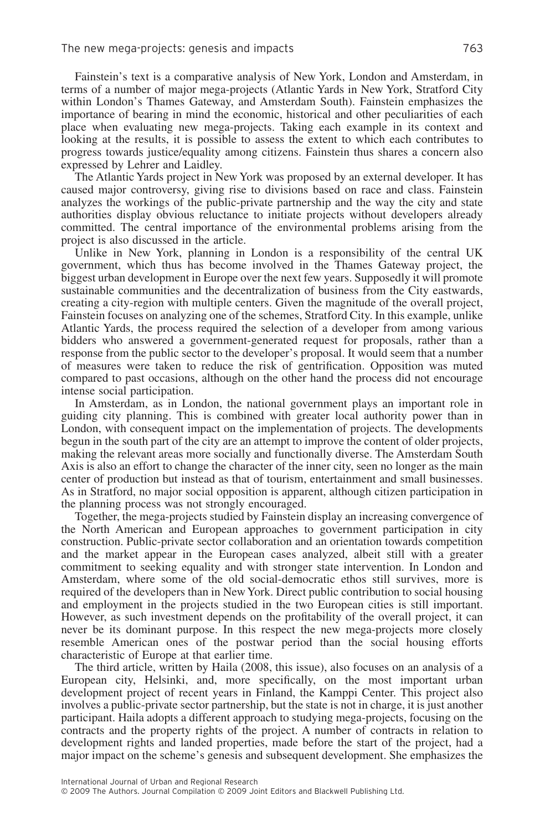Fainstein's text is a comparative analysis of New York, London and Amsterdam, in terms of a number of major mega-projects (Atlantic Yards in New York, Stratford City within London's Thames Gateway, and Amsterdam South). Fainstein emphasizes the importance of bearing in mind the economic, historical and other peculiarities of each place when evaluating new mega-projects. Taking each example in its context and looking at the results, it is possible to assess the extent to which each contributes to progress towards justice/equality among citizens. Fainstein thus shares a concern also expressed by Lehrer and Laidley.

The Atlantic Yards project in New York was proposed by an external developer. It has caused major controversy, giving rise to divisions based on race and class. Fainstein analyzes the workings of the public-private partnership and the way the city and state authorities display obvious reluctance to initiate projects without developers already committed. The central importance of the environmental problems arising from the project is also discussed in the article.

Unlike in New York, planning in London is a responsibility of the central UK government, which thus has become involved in the Thames Gateway project, the biggest urban development in Europe over the next few years. Supposedly it will promote sustainable communities and the decentralization of business from the City eastwards, creating a city-region with multiple centers. Given the magnitude of the overall project, Fainstein focuses on analyzing one of the schemes, Stratford City. In this example, unlike Atlantic Yards, the process required the selection of a developer from among various bidders who answered a government-generated request for proposals, rather than a response from the public sector to the developer's proposal. It would seem that a number of measures were taken to reduce the risk of gentrification. Opposition was muted compared to past occasions, although on the other hand the process did not encourage intense social participation.

In Amsterdam, as in London, the national government plays an important role in guiding city planning. This is combined with greater local authority power than in London, with consequent impact on the implementation of projects. The developments begun in the south part of the city are an attempt to improve the content of older projects, making the relevant areas more socially and functionally diverse. The Amsterdam South Axis is also an effort to change the character of the inner city, seen no longer as the main center of production but instead as that of tourism, entertainment and small businesses. As in Stratford, no major social opposition is apparent, although citizen participation in the planning process was not strongly encouraged.

Together, the mega-projects studied by Fainstein display an increasing convergence of the North American and European approaches to government participation in city construction. Public-private sector collaboration and an orientation towards competition and the market appear in the European cases analyzed, albeit still with a greater commitment to seeking equality and with stronger state intervention. In London and Amsterdam, where some of the old social-democratic ethos still survives, more is required of the developers than in New York. Direct public contribution to social housing and employment in the projects studied in the two European cities is still important. However, as such investment depends on the profitability of the overall project, it can never be its dominant purpose. In this respect the new mega-projects more closely resemble American ones of the postwar period than the social housing efforts characteristic of Europe at that earlier time.

The third article, written by Haila (2008, this issue), also focuses on an analysis of a European city, Helsinki, and, more specifically, on the most important urban development project of recent years in Finland, the Kamppi Center. This project also involves a public-private sector partnership, but the state is not in charge, it is just another participant. Haila adopts a different approach to studying mega-projects, focusing on the contracts and the property rights of the project. A number of contracts in relation to development rights and landed properties, made before the start of the project, had a major impact on the scheme's genesis and subsequent development. She emphasizes the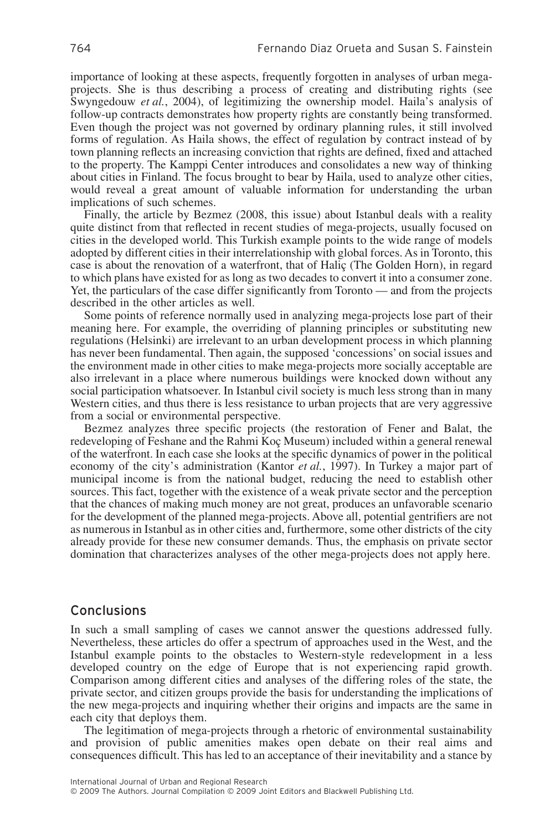importance of looking at these aspects, frequently forgotten in analyses of urban megaprojects. She is thus describing a process of creating and distributing rights (see Swyngedouw *et al.*, 2004), of legitimizing the ownership model. Haila's analysis of follow-up contracts demonstrates how property rights are constantly being transformed. Even though the project was not governed by ordinary planning rules, it still involved forms of regulation. As Haila shows, the effect of regulation by contract instead of by town planning reflects an increasing conviction that rights are defined, fixed and attached to the property. The Kamppi Center introduces and consolidates a new way of thinking about cities in Finland. The focus brought to bear by Haila, used to analyze other cities, would reveal a great amount of valuable information for understanding the urban implications of such schemes.

Finally, the article by Bezmez (2008, this issue) about Istanbul deals with a reality quite distinct from that reflected in recent studies of mega-projects, usually focused on cities in the developed world. This Turkish example points to the wide range of models adopted by different cities in their interrelationship with global forces. As in Toronto, this case is about the renovation of a waterfront, that of Haliç (The Golden Horn), in regard to which plans have existed for as long as two decades to convert it into a consumer zone. Yet, the particulars of the case differ significantly from Toronto — and from the projects described in the other articles as well.

Some points of reference normally used in analyzing mega-projects lose part of their meaning here. For example, the overriding of planning principles or substituting new regulations (Helsinki) are irrelevant to an urban development process in which planning has never been fundamental. Then again, the supposed 'concessions' on social issues and the environment made in other cities to make mega-projects more socially acceptable are also irrelevant in a place where numerous buildings were knocked down without any social participation whatsoever. In Istanbul civil society is much less strong than in many Western cities, and thus there is less resistance to urban projects that are very aggressive from a social or environmental perspective.

Bezmez analyzes three specific projects (the restoration of Fener and Balat, the redeveloping of Feshane and the Rahmi Koç Museum) included within a general renewal of the waterfront. In each case she looks at the specific dynamics of power in the political economy of the city's administration (Kantor *et al.*, 1997). In Turkey a major part of municipal income is from the national budget, reducing the need to establish other sources. This fact, together with the existence of a weak private sector and the perception that the chances of making much money are not great, produces an unfavorable scenario for the development of the planned mega-projects. Above all, potential gentrifiers are not as numerous in Istanbul as in other cities and, furthermore, some other districts of the city already provide for these new consumer demands. Thus, the emphasis on private sector domination that characterizes analyses of the other mega-projects does not apply here.

#### Conclusions

In such a small sampling of cases we cannot answer the questions addressed fully. Nevertheless, these articles do offer a spectrum of approaches used in the West, and the Istanbul example points to the obstacles to Western-style redevelopment in a less developed country on the edge of Europe that is not experiencing rapid growth. Comparison among different cities and analyses of the differing roles of the state, the private sector, and citizen groups provide the basis for understanding the implications of the new mega-projects and inquiring whether their origins and impacts are the same in each city that deploys them.

The legitimation of mega-projects through a rhetoric of environmental sustainability and provision of public amenities makes open debate on their real aims and consequences difficult. This has led to an acceptance of their inevitability and a stance by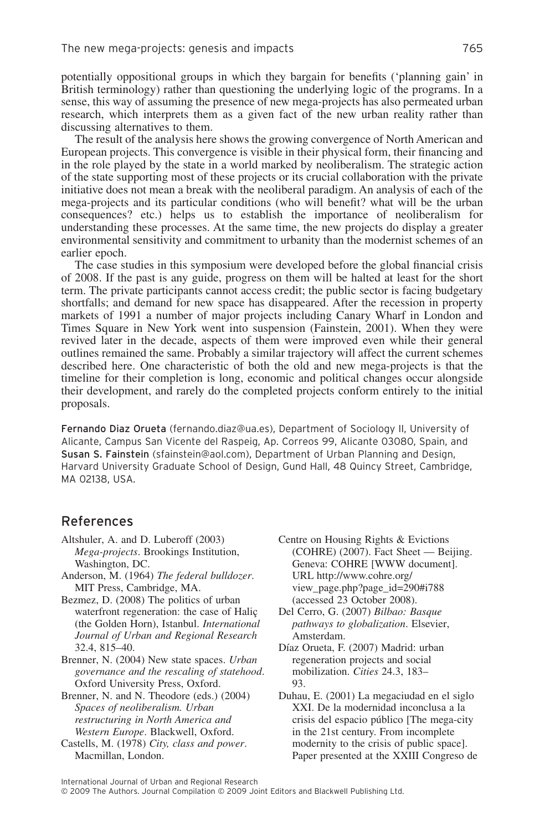potentially oppositional groups in which they bargain for benefits ('planning gain' in British terminology) rather than questioning the underlying logic of the programs. In a sense, this way of assuming the presence of new mega-projects has also permeated urban research, which interprets them as a given fact of the new urban reality rather than discussing alternatives to them.

The result of the analysis here shows the growing convergence of North American and European projects. This convergence is visible in their physical form, their financing and in the role played by the state in a world marked by neoliberalism. The strategic action of the state supporting most of these projects or its crucial collaboration with the private initiative does not mean a break with the neoliberal paradigm. An analysis of each of the mega-projects and its particular conditions (who will benefit? what will be the urban consequences? etc.) helps us to establish the importance of neoliberalism for understanding these processes. At the same time, the new projects do display a greater environmental sensitivity and commitment to urbanity than the modernist schemes of an earlier epoch.

The case studies in this symposium were developed before the global financial crisis of 2008. If the past is any guide, progress on them will be halted at least for the short term. The private participants cannot access credit; the public sector is facing budgetary shortfalls; and demand for new space has disappeared. After the recession in property markets of 1991 a number of major projects including Canary Wharf in London and Times Square in New York went into suspension (Fainstein, 2001). When they were revived later in the decade, aspects of them were improved even while their general outlines remained the same. Probably a similar trajectory will affect the current schemes described here. One characteristic of both the old and new mega-projects is that the timeline for their completion is long, economic and political changes occur alongside their development, and rarely do the completed projects conform entirely to the initial proposals.

Fernando Diaz Orueta (fernando[.diaz@ua.es](mailto:diaz@ua.es)), Department of Sociology II, University of Alicante, Campus San Vicente del Raspeig, Ap. Correos 99, Alicante 03080, Spain, and Susan S. Fainstein [\(sfainstein@aol.com\), De](mailto:sfainstein@aol.com)partment of Urban Planning and Design, Harvard University Graduate School of Design, Gund Hall, 48 Quincy Street, Cambridge, MA 02138, USA.

#### References

- Altshuler, A. and D. Luberoff (2003) *Mega-projects*. Brookings Institution, Washington, DC.
- Anderson, M. (1964) *The federal bulldozer*. MIT Press, Cambridge, MA.
- Bezmez, D. (2008) The politics of urban waterfront regeneration: the case of Haliç (the Golden Horn), Istanbul. *International Journal of Urban and Regional Research* 32.4, 815–40.
- Brenner, N. (2004) New state spaces. *Urban governance and the rescaling of statehood*. Oxford University Press, Oxford.
- Brenner, N. and N. Theodore (eds.) (2004) *Spaces of neoliberalism. Urban restructuring in North America and Western Europe*. Blackwell, Oxford.
- Castells, M. (1978) *City, class and power*. Macmillan, London.
- Centre on Housing Rights & Evictions (COHRE) (2007). Fact Sheet — Beijing. Geneva: COHRE [WWW document]. URL [http://www.cohre.org/](http://www.cohre.org) view\_page.php?page\_id=290#i788 (accessed 23 October 2008).
- Del Cerro, G. (2007) *Bilbao: Basque pathways to globalization*. Elsevier, Amsterdam.
- Díaz Orueta, F. (2007) Madrid: urban regeneration projects and social mobilization. *Cities* 24.3, 183– 93.
- Duhau, E. (2001) La megaciudad en el siglo XXI. De la modernidad inconclusa a la crisis del espacio público [The mega-city in the 21st century. From incomplete modernity to the crisis of public space]. Paper presented at the XXIII Congreso de

<sup>© 2009</sup> The Authors. Journal Compilation © 2009 Joint Editors and Blackwell Publishing Ltd.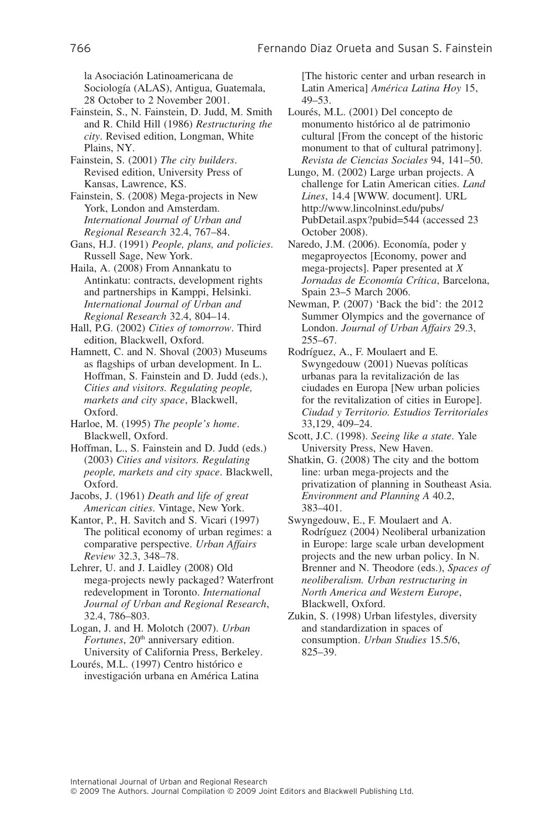la Asociación Latinoamericana de Sociología (ALAS), Antigua, Guatemala, 28 October to 2 November 2001.

- Fainstein, S., N. Fainstein, D. Judd, M. Smith and R. Child Hill (1986) *Restructuring the city*. Revised edition, Longman, White Plains, NY.
- Fainstein, S. (2001) *The city builders*. Revised edition, University Press of Kansas, Lawrence, KS.
- Fainstein, S. (2008) Mega-projects in New York, London and Amsterdam. *International Journal of Urban and Regional Research* 32.4, 767–84.

Gans, H.J. (1991) *People, plans, and policies*. Russell Sage, New York.

Haila, A. (2008) From Annankatu to Antinkatu: contracts, development rights and partnerships in Kamppi, Helsinki. *International Journal of Urban and Regional Research* 32.4, 804–14.

Hall, P.G. (2002) *Cities of tomorrow*. Third edition, Blackwell, Oxford.

Hamnett, C. and N. Shoval (2003) Museums as flagships of urban development. In L. Hoffman, S. Fainstein and D. Judd (eds.), *Cities and visitors. Regulating people, markets and city space*, Blackwell, Oxford.

Harloe, M. (1995) *The people's home*. Blackwell, Oxford.

- Hoffman, L., S. Fainstein and D. Judd (eds.) (2003) *Cities and visitors. Regulating people, markets and city space*. Blackwell, Oxford.
- Jacobs, J. (1961) *Death and life of great American cities*. Vintage, New York.

Kantor, P., H. Savitch and S. Vicari (1997) The political economy of urban regimes: a comparative perspective. *Urban Affairs Review* 32.3, 348–78.

Lehrer, U. and J. Laidley (2008) Old mega-projects newly packaged? Waterfront redevelopment in Toronto. *International Journal of Urban and Regional Research*, 32.4, 786–803.

Logan, J. and H. Molotch (2007). *Urban Fortunes*, 20<sup>th</sup> anniversary edition. University of California Press, Berkeley.

Lourés, M.L. (1997) Centro histórico e investigación urbana en América Latina [The historic center and urban research in Latin America] *América Latina Hoy* 15, 49–53.

Lourés, M.L. (2001) Del concepto de monumento histórico al de patrimonio cultural [From the concept of the historic monument to that of cultural patrimony]. *Revista de Ciencias Sociales* 94, 141–50.

Lungo, M. (2002) Large urban projects. A challenge for Latin American cities. *Land Lines*, 14.4 [WWW. document]. URL [http://www.lincolninst.edu/pubs/](http://www.lincolninst.edu/pubs) PubDetail.aspx?pubid=544 (accessed 23 October 2008).

Naredo, J.M. (2006). Economía, poder y megaproyectos [Economy, power and mega-projects]. Paper presented at *X Jornadas de Economía Crítica*, Barcelona, Spain 23–5 March 2006.

Newman, P. (2007) 'Back the bid': the 2012 Summer Olympics and the governance of London. *Journal of Urban Affairs* 29.3, 255–67.

Rodríguez, A., F. Moulaert and E. Swyngedouw (2001) Nuevas políticas urbanas para la revitalización de las ciudades en Europa [New urban policies for the revitalization of cities in Europe]. *Ciudad y Territorio. Estudios Territoriales* 33,129, 409–24.

- Scott, J.C. (1998). *Seeing like a state*. Yale University Press, New Haven.
- Shatkin, G. (2008) The city and the bottom line: urban mega-projects and the privatization of planning in Southeast Asia. *Environment and Planning A* 40.2, 383–401.

Swyngedouw, E., F. Moulaert and A. Rodríguez (2004) Neoliberal urbanization in Europe: large scale urban development projects and the new urban policy. In N. Brenner and N. Theodore (eds.), *Spaces of neoliberalism. Urban restructuring in North America and Western Europe*, Blackwell, Oxford.

Zukin, S. (1998) Urban lifestyles, diversity and standardization in spaces of consumption. *Urban Studies* 15.5/6, 825–39.